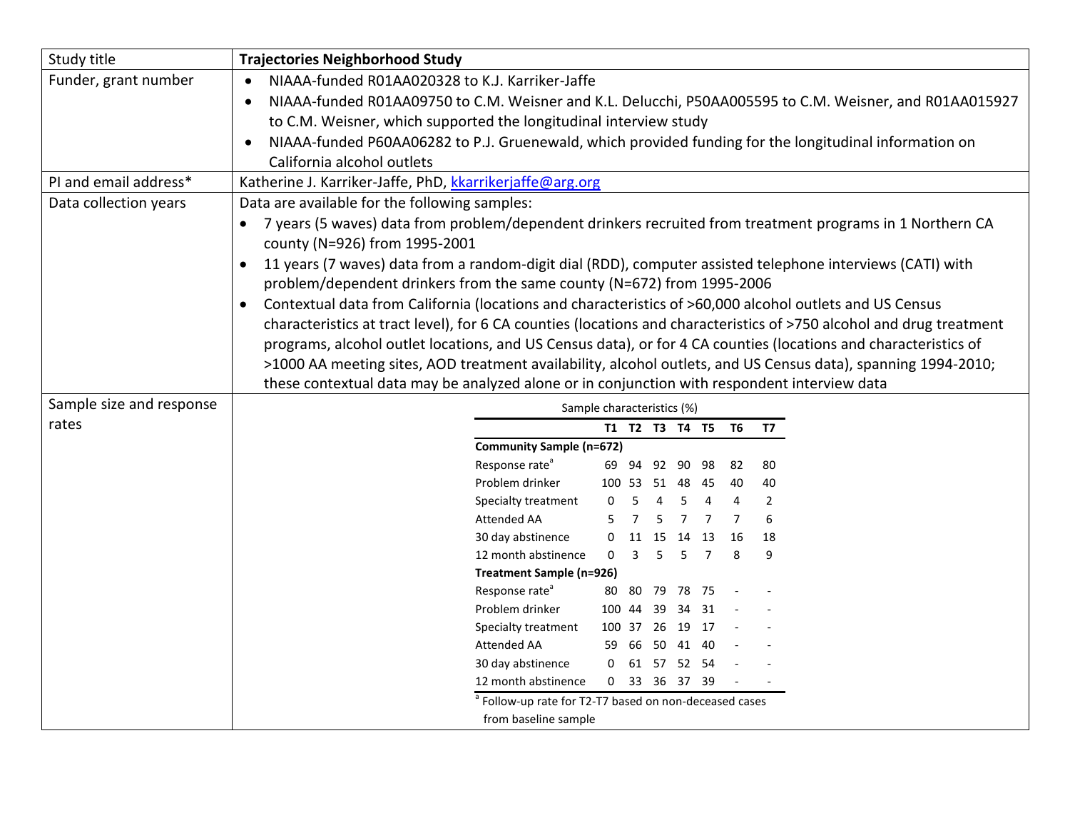| Study title              | <b>Trajectories Neighborhood Study</b>                                                                               |
|--------------------------|----------------------------------------------------------------------------------------------------------------------|
| Funder, grant number     | NIAAA-funded R01AA020328 to K.J. Karriker-Jaffe<br>$\bullet$                                                         |
|                          | NIAAA-funded R01AA09750 to C.M. Weisner and K.L. Delucchi, P50AA005595 to C.M. Weisner, and R01AA015927<br>$\bullet$ |
|                          | to C.M. Weisner, which supported the longitudinal interview study                                                    |
|                          | NIAAA-funded P60AA06282 to P.J. Gruenewald, which provided funding for the longitudinal information on<br>$\bullet$  |
|                          | California alcohol outlets                                                                                           |
| PI and email address*    | Katherine J. Karriker-Jaffe, PhD, kkarrikerjaffe@arg.org                                                             |
| Data collection years    | Data are available for the following samples:                                                                        |
|                          | 7 years (5 waves) data from problem/dependent drinkers recruited from treatment programs in 1 Northern CA            |
|                          | county (N=926) from 1995-2001                                                                                        |
|                          | 11 years (7 waves) data from a random-digit dial (RDD), computer assisted telephone interviews (CATI) with           |
|                          | problem/dependent drinkers from the same county (N=672) from 1995-2006                                               |
|                          | Contextual data from California (locations and characteristics of >60,000 alcohol outlets and US Census              |
|                          | characteristics at tract level), for 6 CA counties (locations and characteristics of >750 alcohol and drug treatment |
|                          | programs, alcohol outlet locations, and US Census data), or for 4 CA counties (locations and characteristics of      |
|                          | >1000 AA meeting sites, AOD treatment availability, alcohol outlets, and US Census data), spanning 1994-2010;        |
|                          | these contextual data may be analyzed alone or in conjunction with respondent interview data                         |
| Sample size and response | Sample characteristics (%)                                                                                           |
| rates                    | T1 T2 T3 T4 T5 T6 T7                                                                                                 |
|                          | <b>Community Sample (n=672)</b>                                                                                      |
|                          | Response rate <sup>a</sup><br>80<br>69 94 92 90 98<br>-82                                                            |
|                          | Problem drinker<br>100 53 51 48<br>40<br>- 45<br>40                                                                  |
|                          | $\overline{2}$<br>Specialty treatment<br>$\mathbf{0}$<br>-5<br>4<br>5<br>4<br>4                                      |
|                          | 6<br><b>Attended AA</b><br>5<br>7<br>$\overline{7}$<br>7                                                             |
|                          | 30 day abstinence<br>18<br>0 11 15 14<br>- 13<br>16                                                                  |
|                          | 12 month abstinence<br>$0 \quad 3 \quad 5$<br>5 7<br>9<br>8                                                          |
|                          | Treatment Sample (n=926)                                                                                             |
|                          | Response rate <sup>a</sup><br>80 80 79 78 75                                                                         |
|                          | Problem drinker<br>34 31<br>100 44 39<br>100 37 26 19<br>- 17                                                        |
|                          | Specialty treatment<br>Attended AA<br>59 66 50 41 40                                                                 |
|                          | 30 day abstinence<br>0 61 57 52 54                                                                                   |
|                          | 12 month abstinence<br>0 33 36 37 39                                                                                 |
|                          | <sup>a</sup> Follow-up rate for T2-T7 based on non-deceased cases                                                    |
|                          |                                                                                                                      |